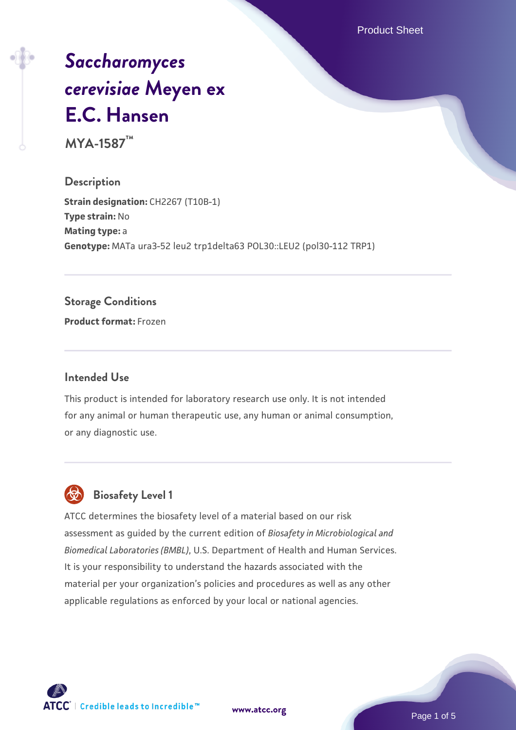Product Sheet

# *[Saccharomyces](https://www.atcc.org/products/mya-1587) [cerevisiae](https://www.atcc.org/products/mya-1587)* **[Meyen ex](https://www.atcc.org/products/mya-1587) [E.C. Hansen](https://www.atcc.org/products/mya-1587)**

**MYA-1587™**

**Description Strain designation: CH2267 (T10B-1) Type strain:** No **Mating type:** a **Genotype:** MATa ura3-52 leu2 trp1delta63 POL30::LEU2 (pol30-112 TRP1)

#### **Storage Conditions**

**Product format:** Frozen

#### **Intended Use**

This product is intended for laboratory research use only. It is not intended for any animal or human therapeutic use, any human or animal consumption, or any diagnostic use.



#### **Biosafety Level 1**

ATCC determines the biosafety level of a material based on our risk assessment as guided by the current edition of *Biosafety in Microbiological and Biomedical Laboratories (BMBL)*, U.S. Department of Health and Human Services. It is your responsibility to understand the hazards associated with the material per your organization's policies and procedures as well as any other applicable regulations as enforced by your local or national agencies.

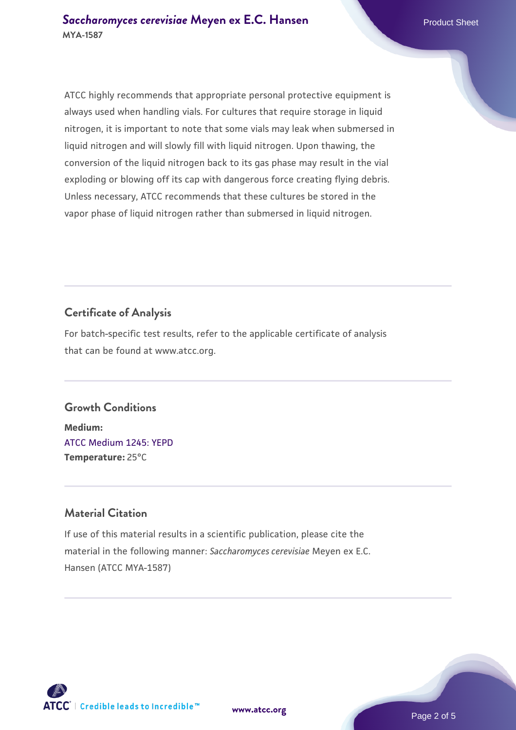ATCC highly recommends that appropriate personal protective equipment is always used when handling vials. For cultures that require storage in liquid nitrogen, it is important to note that some vials may leak when submersed in liquid nitrogen and will slowly fill with liquid nitrogen. Upon thawing, the conversion of the liquid nitrogen back to its gas phase may result in the vial exploding or blowing off its cap with dangerous force creating flying debris. Unless necessary, ATCC recommends that these cultures be stored in the vapor phase of liquid nitrogen rather than submersed in liquid nitrogen.

#### **Certificate of Analysis**

For batch-specific test results, refer to the applicable certificate of analysis that can be found at www.atcc.org.

#### **Growth Conditions**

**Medium:**  [ATCC Medium 1245: YEPD](https://www.atcc.org/-/media/product-assets/documents/microbial-media-formulations/1/2/4/5/atcc-medium-1245.pdf?rev=705ca55d1b6f490a808a965d5c072196) **Temperature:** 25°C

#### **Material Citation**

If use of this material results in a scientific publication, please cite the material in the following manner: *Saccharomyces cerevisiae* Meyen ex E.C. Hansen (ATCC MYA-1587)



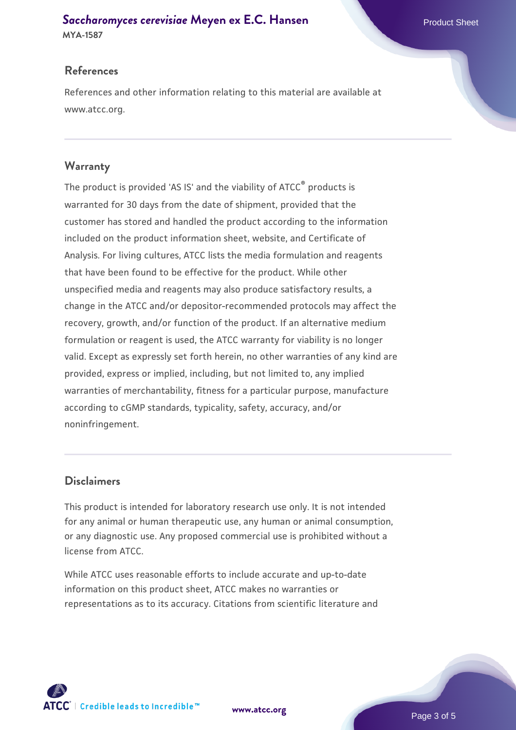## **[Saccharomyces cerevisiae](https://www.atcc.org/products/mya-1587)** [Meyen ex E.C. Hansen](https://www.atcc.org/products/mya-1587)

**MYA-1587**

#### **References**

References and other information relating to this material are available at www.atcc.org.

#### **Warranty**

The product is provided 'AS IS' and the viability of ATCC® products is warranted for 30 days from the date of shipment, provided that the customer has stored and handled the product according to the information included on the product information sheet, website, and Certificate of Analysis. For living cultures, ATCC lists the media formulation and reagents that have been found to be effective for the product. While other unspecified media and reagents may also produce satisfactory results, a change in the ATCC and/or depositor-recommended protocols may affect the recovery, growth, and/or function of the product. If an alternative medium formulation or reagent is used, the ATCC warranty for viability is no longer valid. Except as expressly set forth herein, no other warranties of any kind are provided, express or implied, including, but not limited to, any implied warranties of merchantability, fitness for a particular purpose, manufacture according to cGMP standards, typicality, safety, accuracy, and/or noninfringement.

#### **Disclaimers**

This product is intended for laboratory research use only. It is not intended for any animal or human therapeutic use, any human or animal consumption, or any diagnostic use. Any proposed commercial use is prohibited without a license from ATCC.

While ATCC uses reasonable efforts to include accurate and up-to-date information on this product sheet, ATCC makes no warranties or representations as to its accuracy. Citations from scientific literature and

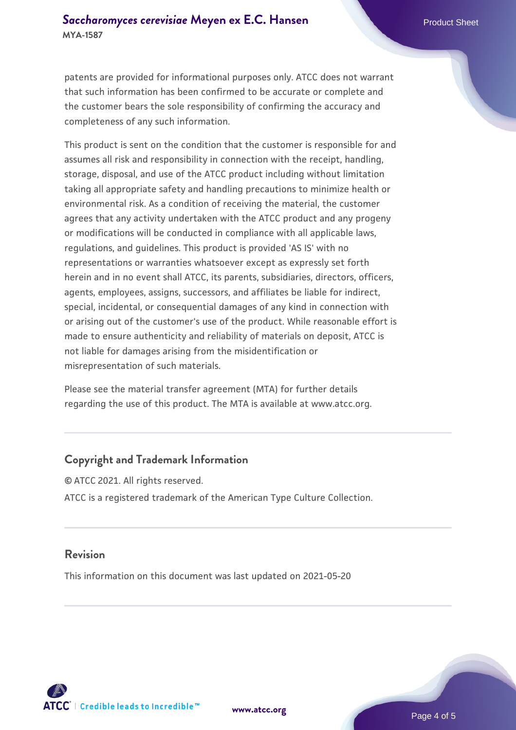#### **[Saccharomyces cerevisiae](https://www.atcc.org/products/mya-1587)** [Meyen ex E.C. Hansen](https://www.atcc.org/products/mya-1587) **MYA-1587**

patents are provided for informational purposes only. ATCC does not warrant that such information has been confirmed to be accurate or complete and the customer bears the sole responsibility of confirming the accuracy and completeness of any such information.

This product is sent on the condition that the customer is responsible for and assumes all risk and responsibility in connection with the receipt, handling, storage, disposal, and use of the ATCC product including without limitation taking all appropriate safety and handling precautions to minimize health or environmental risk. As a condition of receiving the material, the customer agrees that any activity undertaken with the ATCC product and any progeny or modifications will be conducted in compliance with all applicable laws, regulations, and guidelines. This product is provided 'AS IS' with no representations or warranties whatsoever except as expressly set forth herein and in no event shall ATCC, its parents, subsidiaries, directors, officers, agents, employees, assigns, successors, and affiliates be liable for indirect, special, incidental, or consequential damages of any kind in connection with or arising out of the customer's use of the product. While reasonable effort is made to ensure authenticity and reliability of materials on deposit, ATCC is not liable for damages arising from the misidentification or misrepresentation of such materials.

Please see the material transfer agreement (MTA) for further details regarding the use of this product. The MTA is available at www.atcc.org.

#### **Copyright and Trademark Information**

© ATCC 2021. All rights reserved. ATCC is a registered trademark of the American Type Culture Collection.

#### **Revision**

This information on this document was last updated on 2021-05-20



**[www.atcc.org](http://www.atcc.org)**